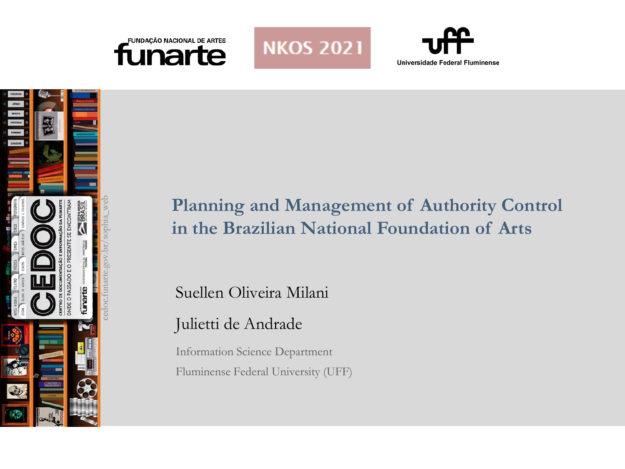







# **Planning and Management of Authority Control in the Brazilian National Foundation of Arts**

Suellen Oliveira Milani

## Julietti de Andrade

Information Science Department Fluminense Federal University (UFF)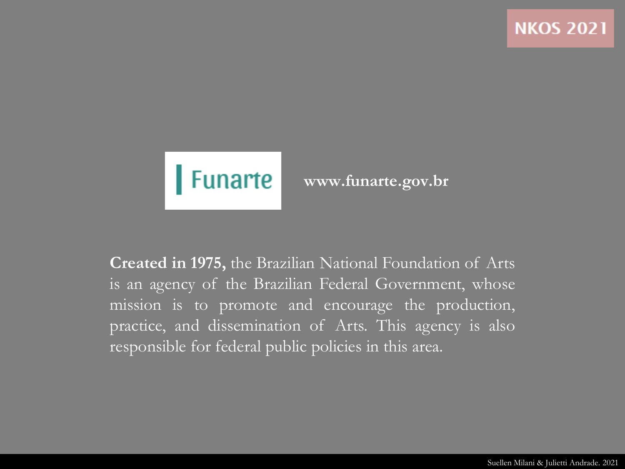

### **www.funarte.gov.br**

**Created in 1975,** the Brazilian National Foundation of Arts is an agency of the Brazilian Federal Government, whose mission is to promote and encourage the production, practice, and dissemination of Arts. This agency is also responsible for federal public policies in this area.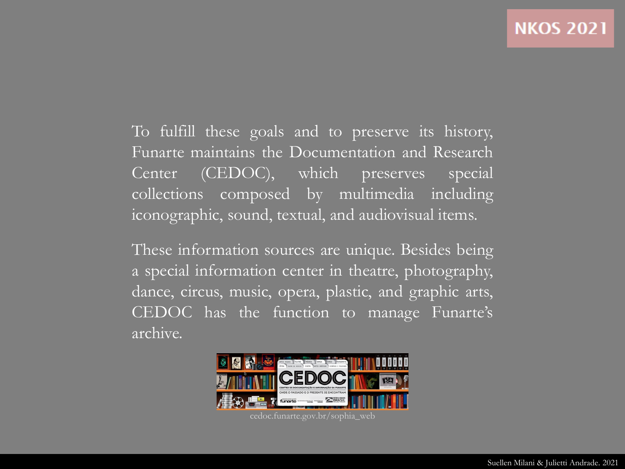To fulfill these goals and to preserve its history, Funarte maintains the Documentation and Research Center (CEDOC), which preserves special collections composed by multimedia including iconographic, sound, textual, and audiovisual items.

These information sources are unique. Besides being a special information center in theatre, photography, dance, circus, music, opera, plastic, and graphic arts, CEDOC has the function to manage Funarte's archive.



cedoc.funarte.gov.br/sophia\_web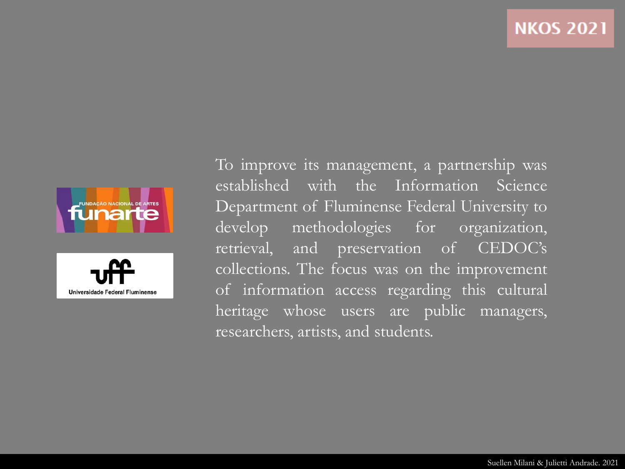



To improve its management, a partnership was established with the Information Science Department of Fluminense Federal University to develop methodologies for organization, retrieval, and preservation of CEDOC's collections. The focus was on the improvement of information access regarding this cultural heritage whose users are public managers, researchers, artists, and students.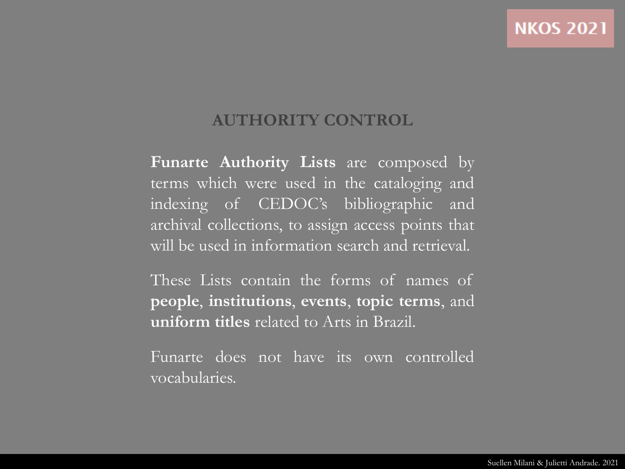#### **AUTHORITY CONTROL**

**Funarte Authority Lists** are composed by terms which were used in the cataloging and indexing of CEDOC's bibliographic and archival collections, to assign access points that will be used in information search and retrieval.

These Lists contain the forms of names of **people**, **institutions**, **events**, **topic terms**, and **uniform titles** related to Arts in Brazil.

Funarte does not have its own controlled vocabularies.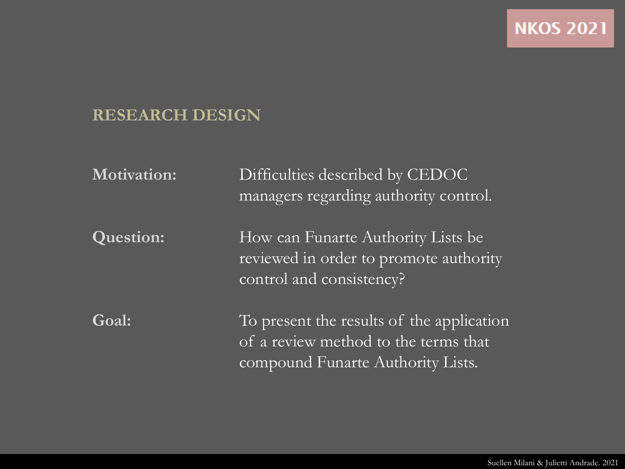### **RESEARCH DESIGN**

| <b>Motivation:</b> | Difficulties described by CEDOC<br>managers regarding authority control.                                               |
|--------------------|------------------------------------------------------------------------------------------------------------------------|
| <b>Question:</b>   | How can Funarte Authority Lists be<br>reviewed in order to promote authority<br>control and consistency?               |
| Goal:              | To present the results of the application<br>of a review method to the terms that<br>compound Funarte Authority Lists. |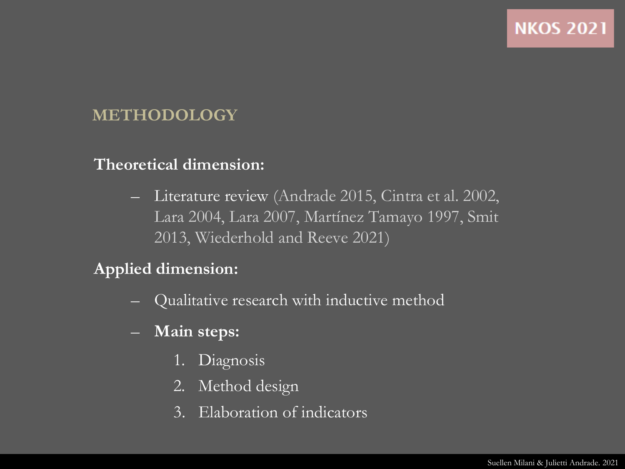### **METHODOLOGY**

#### **Theoretical dimension:**

– Literature review (Andrade 2015, Cintra et al. 2002, Lara 2004, Lara 2007, Martínez Tamayo 1997, Smit 2013, Wiederhold and Reeve 2021)

#### **Applied dimension:**

- Qualitative research with inductive method
- **Main steps:**
	- 1. Diagnosis
	- 2. Method design
	- 3. Elaboration of indicators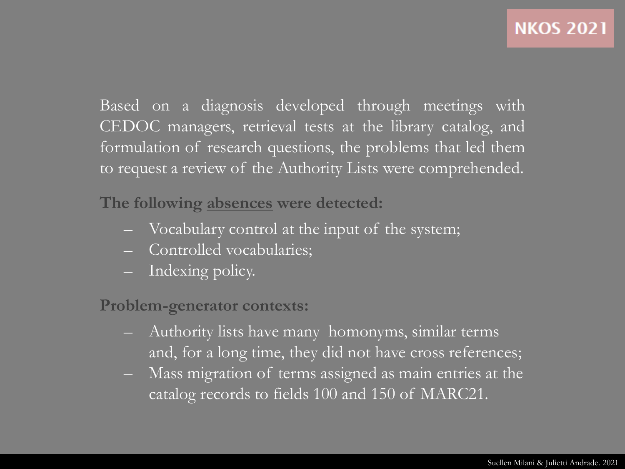Based on a diagnosis developed through meetings with CEDOC managers, retrieval tests at the library catalog, and formulation of research questions, the problems that led them to request a review of the Authority Lists were comprehended.

**The following absences were detected:**

- Vocabulary control at the input of the system;
- Controlled vocabularies;
- Indexing policy.

**Problem-generator contexts:**

- Authority lists have many homonyms, similar terms and, for a long time, they did not have cross references;
- Mass migration of terms assigned as main entries at the catalog records to fields 100 and 150 of MARC21.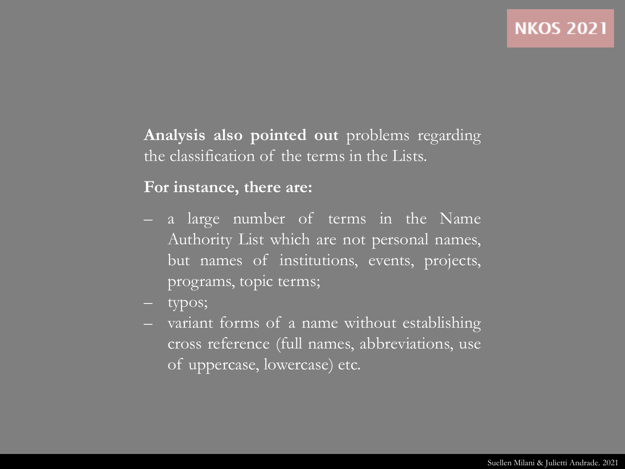**Analysis also pointed out** problems regarding the classification of the terms in the Lists.

#### **For instance, there are:**

- a large number of terms in the Name Authority List which are not personal names, but names of institutions, events, projects, programs, topic terms;
- typos;
- variant forms of a name without establishing cross reference (full names, abbreviations, use of uppercase, lowercase) etc.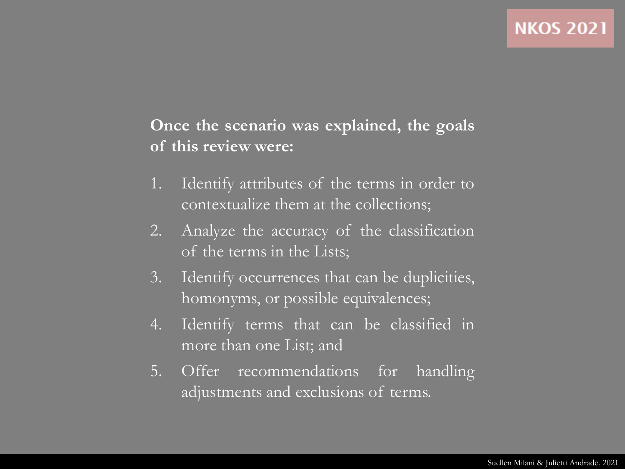### **Once the scenario was explained, the goals of this review were:**

- 1. Identify attributes of the terms in order to contextualize them at the collections;
- 2. Analyze the accuracy of the classification of the terms in the Lists;
- 3. Identify occurrences that can be duplicities, homonyms, or possible equivalences;
- 4. Identify terms that can be classified in more than one List; and
- 5. Offer recommendations for handling adjustments and exclusions of terms.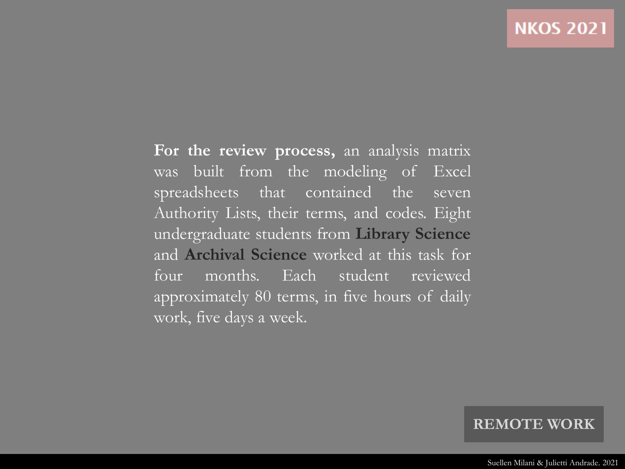**For the review process,** an analysis matrix was built from the modeling of Excel spreadsheets that contained the seven Authority Lists, their terms, and codes. Eight undergraduate students from **Library Science** and **Archival Science** worked at this task for four months. Each student reviewed approximately 80 terms, in five hours of daily work, five days a week.

#### **REMOTE WORK**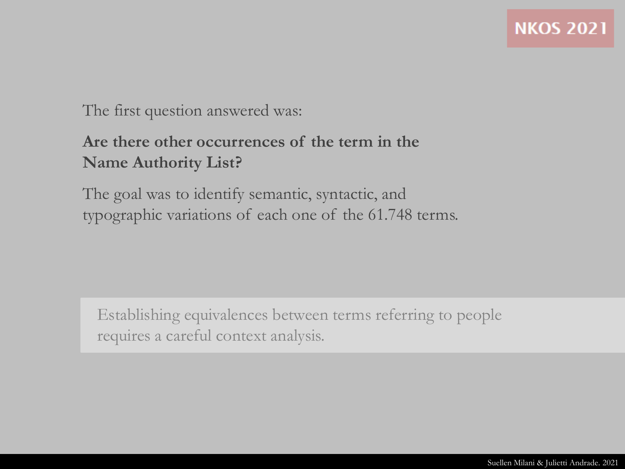The first question answered was:

### **Are there other occurrences of the term in the Name Authority List?**

The goal was to identify semantic, syntactic, and typographic variations of each one of the 61.748 terms.

Establishing equivalences between terms referring to people requires a careful context analysis.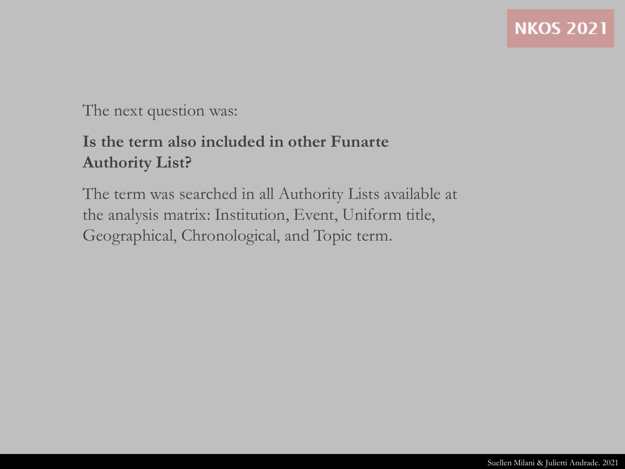#### The next question was:

### **Is the term also included in other Funarte Authority List?**

The term was searched in all Authority Lists available at the analysis matrix: Institution, Event, Uniform title, Geographical, Chronological, and Topic term.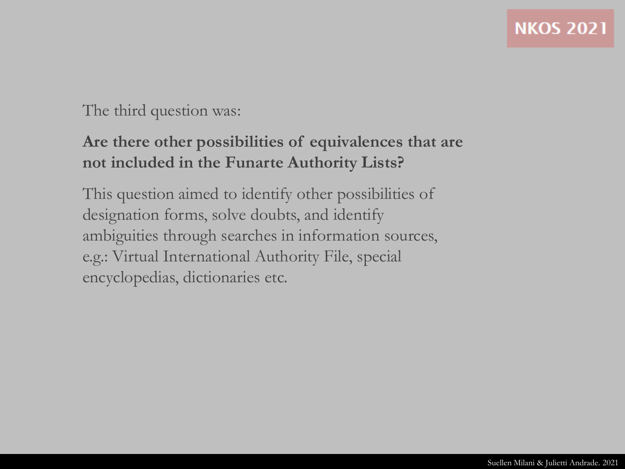#### The third question was:

### **Are there other possibilities of equivalences that are not included in the Funarte Authority Lists?**

This question aimed to identify other possibilities of designation forms, solve doubts, and identify ambiguities through searches in information sources, e.g.: Virtual International Authority File, special encyclopedias, dictionaries etc.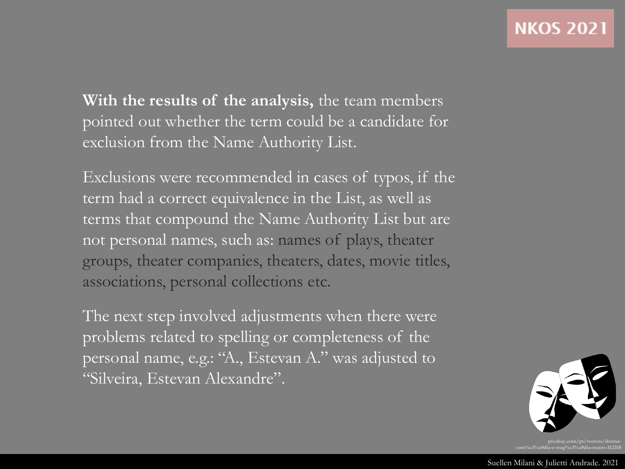**With the results of the analysis,** the team members pointed out whether the term could be a candidate for exclusion from the Name Authority List.

Exclusions were recommended in cases of typos, if the term had a correct equivalence in the List, as well as terms that compound the Name Authority List but are not personal names, such as: names of plays, theater groups, theater companies, theaters, dates, movie titles, associations, personal collections etc.

The next step involved adjustments when there were problems related to spelling or completeness of the personal name, e.g.: "A., Estevan A." was adjusted to "Silveira, Estevan Alexandre".

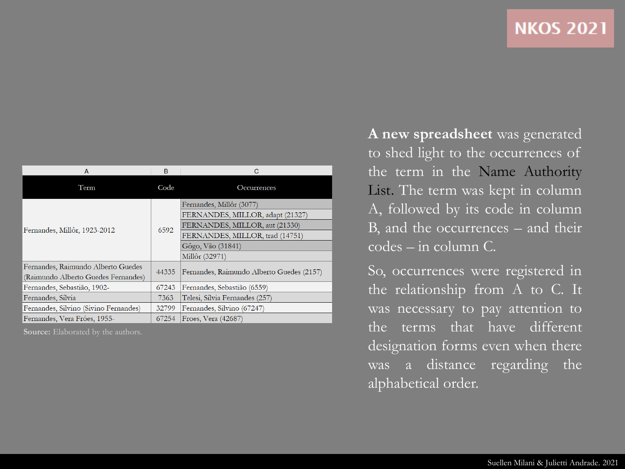| <b>NKOS 2021</b> |  |  |  |
|------------------|--|--|--|
|                  |  |  |  |

| A                                                                         | B     | C                                                                                                                                                                        |
|---------------------------------------------------------------------------|-------|--------------------------------------------------------------------------------------------------------------------------------------------------------------------------|
| Term                                                                      | Code  | Occurrences                                                                                                                                                              |
| Fernandes, Millôr, 1923-2012                                              | 6592  | Fernandes, Millôr (3077)<br>FERNANDES, MILLOR, adapt (21327)<br>FERNANDES, MILLOR, aut (21330)<br>FERNANDES, MILLOR, trad (14751)<br>Gôgo, Vão (31841)<br>Millôr (32971) |
| Fernandes, Raimundo Alberto Guedes<br>(Raimundo Alberto Guedes Fernandes) | 44335 | Fernandes, Raimundo Alberto Guedes (2157)                                                                                                                                |
| Fernandes, Sebastião, 1902-                                               | 67243 | Fernandes, Sebastião (6559)                                                                                                                                              |
| Fernandes, Sílvia                                                         | 7363  | Telesi, Sílvia Fernandes (257)                                                                                                                                           |
| Fernandes, Silvino (Sivino Fernandes)                                     | 32799 | Fernandes, Silvino (67247)                                                                                                                                               |
| Fernandes, Vera Fróes, 1955-                                              | 67254 | Froes, Vera (42687)                                                                                                                                                      |

**Source:** Elaborated by the authors.

**A new spreadsheet** was generated to shed light to the occurrences of the term in the Name Authority List. The term was kept in column A, followed by its code in column B, and the occurrences – and their codes – in column C.

So, occurrences were registered in the relationship from A to C. It was necessary to pay attention to the terms that have different designation forms even when there was a distance regarding the alphabetical order.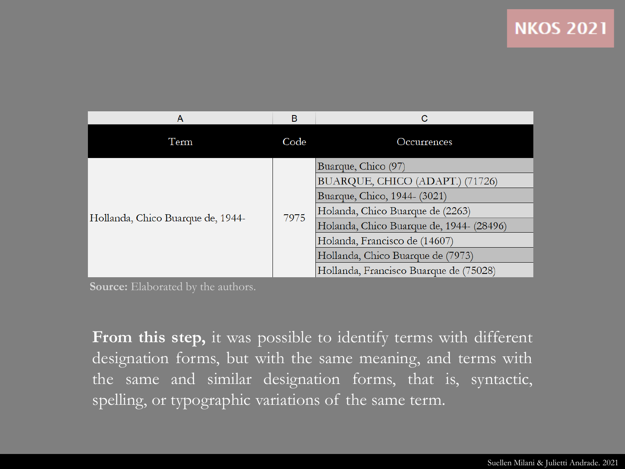| Α                                 | в    | С                                        |  |
|-----------------------------------|------|------------------------------------------|--|
| Term                              | Code | Occurrences                              |  |
| Hollanda, Chico Buarque de, 1944- | 7975 | Buarque, Chico (97)                      |  |
|                                   |      | BUARQUE, CHICO (ADAPT.) (71726)          |  |
|                                   |      | Buarque, Chico, 1944- (3021)             |  |
|                                   |      | Holanda, Chico Buarque de (2263)         |  |
|                                   |      | Holanda, Chico Buarque de, 1944- (28496) |  |
|                                   |      | Holanda, Francisco de (14607)            |  |
|                                   |      | Hollanda, Chico Buarque de (7973)        |  |
|                                   |      | Hollanda, Francisco Buarque de (75028)   |  |

**Source:** Elaborated by the authors.

**From this step,** it was possible to identify terms with different designation forms, but with the same meaning, and terms with the same and similar designation forms, that is, syntactic, spelling, or typographic variations of the same term.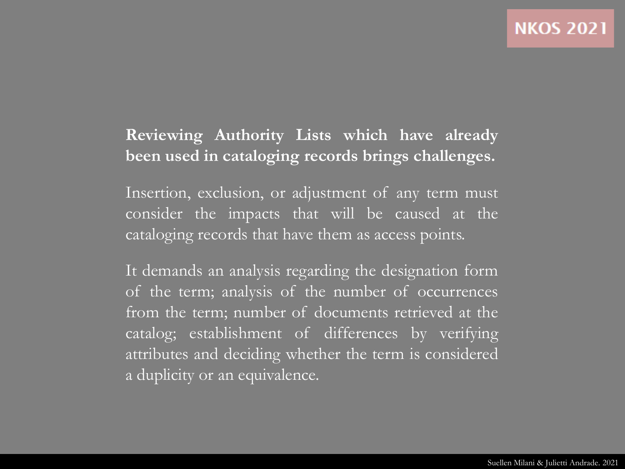### **Reviewing Authority Lists which have already been used in cataloging records brings challenges.**

Insertion, exclusion, or adjustment of any term must consider the impacts that will be caused at the cataloging records that have them as access points.

It demands an analysis regarding the designation form of the term; analysis of the number of occurrences from the term; number of documents retrieved at the catalog; establishment of differences by verifying attributes and deciding whether the term is considered a duplicity or an equivalence.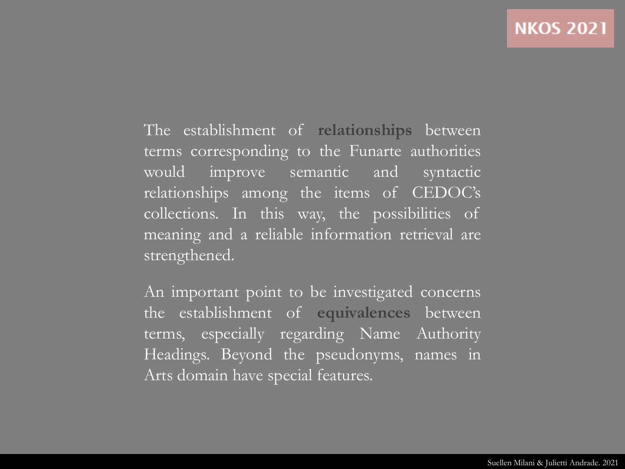The establishment of **relationships** between terms corresponding to the Funarte authorities would improve semantic and syntactic relationships among the items of CEDOC's collections. In this way, the possibilities of meaning and a reliable information retrieval are strengthened.

An important point to be investigated concerns the establishment of **equivalences** between terms, especially regarding Name Authority Headings. Beyond the pseudonyms, names in Arts domain have special features.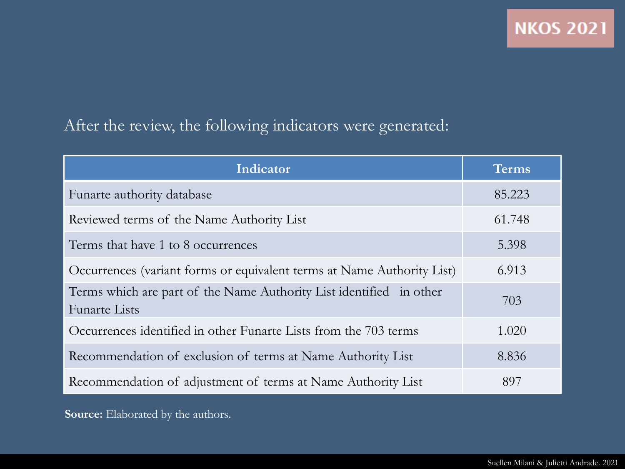### After the review, the following indicators were generated:

| Indicator                                                                                   | Terms  |
|---------------------------------------------------------------------------------------------|--------|
| Funarte authority database                                                                  | 85.223 |
| Reviewed terms of the Name Authority List                                                   | 61.748 |
| Terms that have 1 to 8 occurrences                                                          | 5.398  |
| Occurrences (variant forms or equivalent terms at Name Authority List)                      | 6.913  |
| Terms which are part of the Name Authority List identified in other<br><b>Funarte Lists</b> | 703    |
| Occurrences identified in other Funarte Lists from the 703 terms                            | 1.020  |
| Recommendation of exclusion of terms at Name Authority List                                 | 8.836  |
| Recommendation of adjustment of terms at Name Authority List                                | 897    |

**Source:** Elaborated by the authors.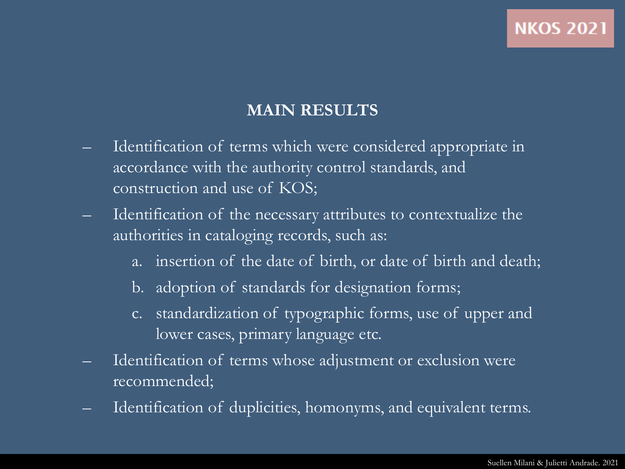#### **MAIN RESULTS**

- Identification of terms which were considered appropriate in accordance with the authority control standards, and construction and use of KOS;
- Identification of the necessary attributes to contextualize the authorities in cataloging records, such as:
	- a. insertion of the date of birth, or date of birth and death;
	- b. adoption of standards for designation forms;
	- c. standardization of typographic forms, use of upper and lower cases, primary language etc.
- Identification of terms whose adjustment or exclusion were recommended;
- Identification of duplicities, homonyms, and equivalent terms.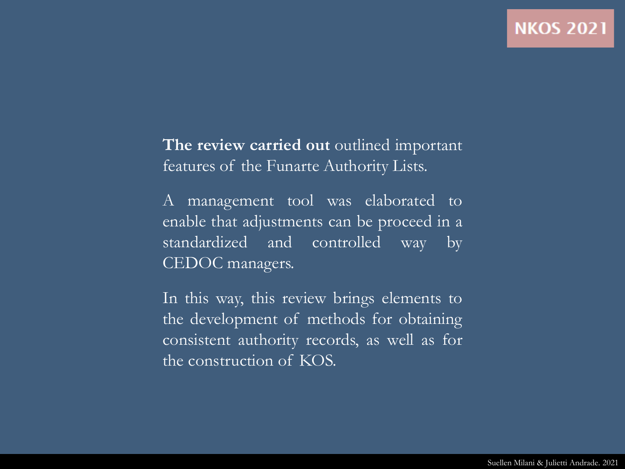**The review carried out** outlined important features of the Funarte Authority Lists.

A management tool was elaborated to enable that adjustments can be proceed in a standardized and controlled way by CEDOC managers.

In this way, this review brings elements to the development of methods for obtaining consistent authority records, as well as for the construction of KOS.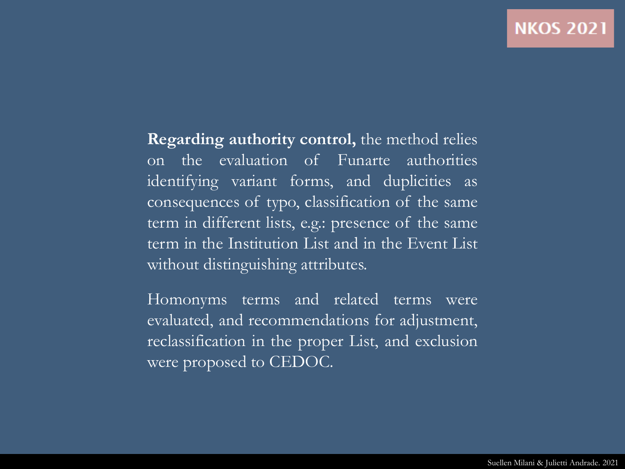**Regarding authority control,** the method relies on the evaluation of Funarte authorities identifying variant forms, and duplicities as consequences of typo, classification of the same term in different lists, e.g.: presence of the same term in the Institution List and in the Event List without distinguishing attributes.

Homonyms terms and related terms were evaluated, and recommendations for adjustment, reclassification in the proper List, and exclusion were proposed to CEDOC.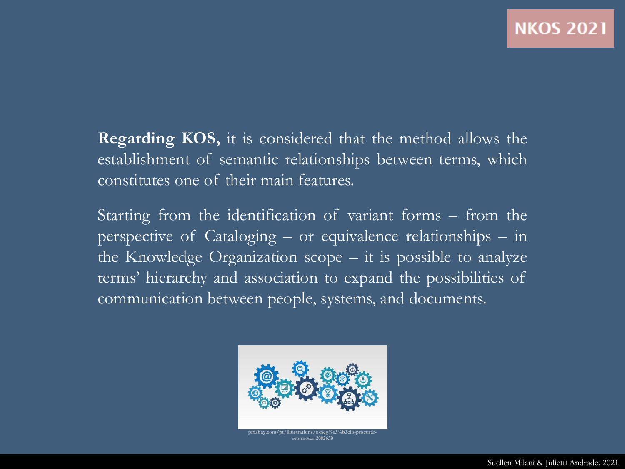**Regarding KOS,** it is considered that the method allows the establishment of semantic relationships between terms, which constitutes one of their main features.

Starting from the identification of variant forms – from the perspective of Cataloging – or equivalence relationships – in the Knowledge Organization scope – it is possible to analyze terms' hierarchy and association to expand the possibilities of communication between people, systems, and documents.



**pixabay.com/pt/illustrations/o-neg%c3%b3cio-procurarseo-motor-2082639**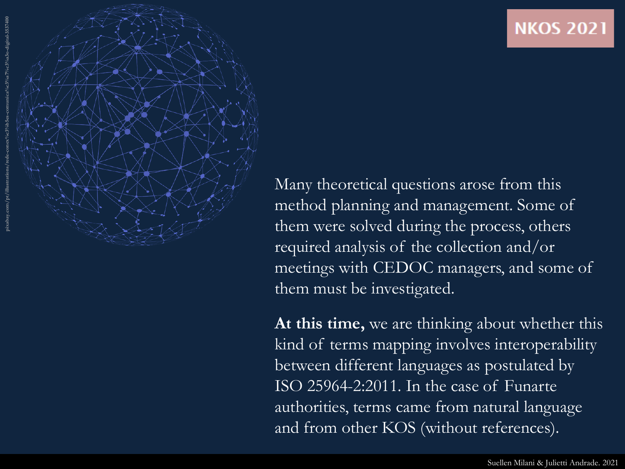

Many theoretical questions arose from this method planning and management. Some of them were solved during the process, others required analysis of the collection and/or meetings with CEDOC managers, and some of them must be investigated.

**At this time,** we are thinking about whether this kind of terms mapping involves interoperability between different languages as postulated by ISO 25964 -2:2011. In the case of Funarte authorities, terms came from natural language and from other KOS (without references).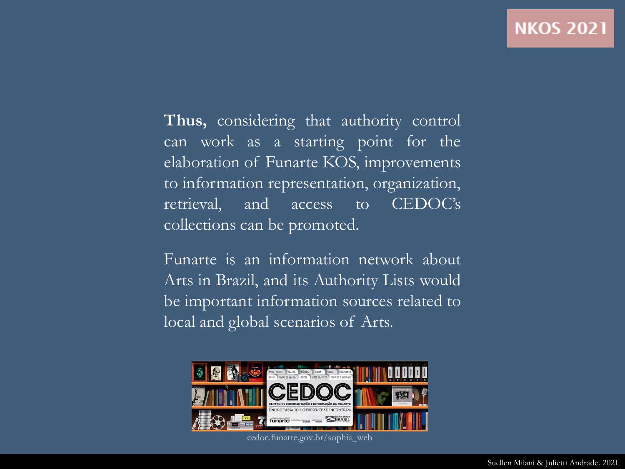**Thus,** considering that authority control can work as a starting point for the elaboration of Funarte KOS, improvements to information representation, organization, retrieval, and access to CEDOC's collections can be promoted.

Funarte is an information network about Arts in Brazil, and its Authority Lists would be important information sources related to local and global scenarios of Arts.



cedoc.funarte.gov.br/sophia\_web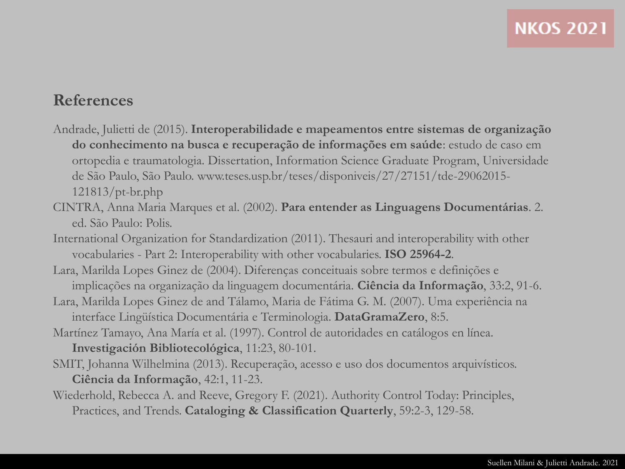#### **References**

- Andrade, Julietti de (2015). **Interoperabilidade e mapeamentos entre sistemas de organização do conhecimento na busca e recuperação de informações em saúde**: estudo de caso em ortopedia e traumatologia. Dissertation, Information Science Graduate Program, Universidade de São Paulo, São Paulo. www.teses.usp.br/teses/disponiveis/27/27151/tde-29062015- 121813/pt-br.php
- CINTRA, Anna Maria Marques et al. (2002). **Para entender as Linguagens Documentárias**. 2. ed. São Paulo: Polis.
- International Organization for Standardization (2011). Thesauri and interoperability with other vocabularies - Part 2: Interoperability with other vocabularies. **ISO 25964-2**.
- Lara, Marilda Lopes Ginez de (2004). Diferenças conceituais sobre termos e definições e implicações na organização da linguagem documentária. **Ciência da Informação**, 33:2, 91-6.
- Lara, Marilda Lopes Ginez de and Tálamo, Maria de Fátima G. M. (2007). Uma experiência na interface Lingüística Documentária e Terminologia. **DataGramaZero**, 8:5.
- Martínez Tamayo, Ana María et al. (1997). Control de autoridades en catálogos en línea. **Investigación Bibliotecológica**, 11:23, 80-101.
- SMIT, Johanna Wilhelmina (2013). Recuperação, acesso e uso dos documentos arquivísticos. **Ciência da Informação**, 42:1, 11-23.
- Wiederhold, Rebecca A. and Reeve, Gregory F. (2021). Authority Control Today: Principles, Practices, and Trends. **Cataloging & Classification Quarterly**, 59:2-3, 129-58.